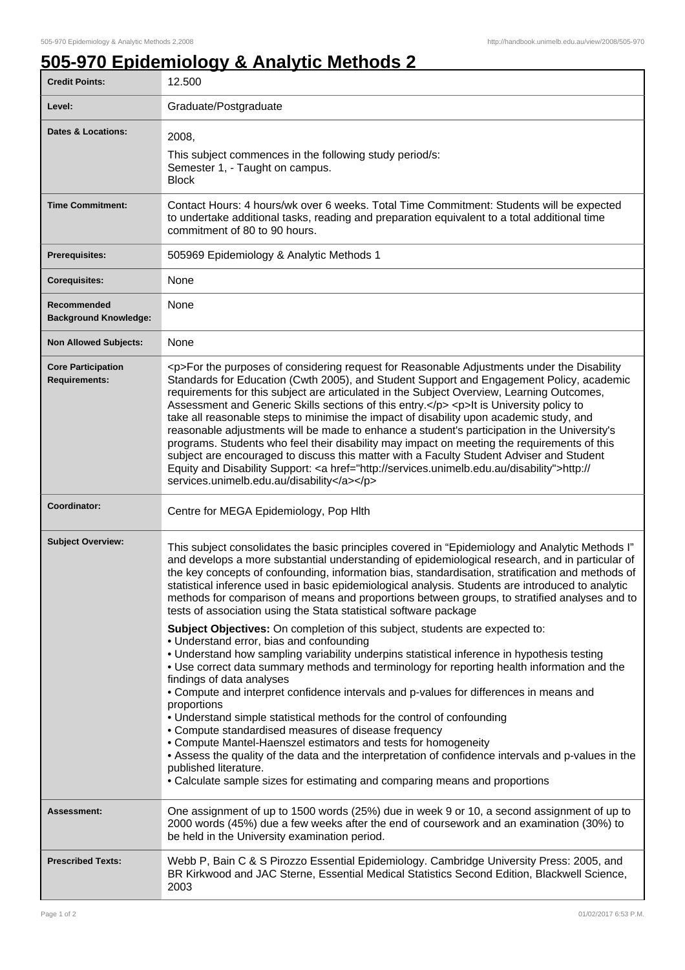## **505-970 Epidemiology & Analytic Methods 2**

| <b>Credit Points:</b>                             | 12.500                                                                                                                                                                                                                                                                                                                                                                                                                                                                                                                                                                                                                                                                                                                                                                                                                                                                                                                       |
|---------------------------------------------------|------------------------------------------------------------------------------------------------------------------------------------------------------------------------------------------------------------------------------------------------------------------------------------------------------------------------------------------------------------------------------------------------------------------------------------------------------------------------------------------------------------------------------------------------------------------------------------------------------------------------------------------------------------------------------------------------------------------------------------------------------------------------------------------------------------------------------------------------------------------------------------------------------------------------------|
| Level:                                            | Graduate/Postgraduate                                                                                                                                                                                                                                                                                                                                                                                                                                                                                                                                                                                                                                                                                                                                                                                                                                                                                                        |
| <b>Dates &amp; Locations:</b>                     | 2008,<br>This subject commences in the following study period/s:<br>Semester 1, - Taught on campus.<br><b>Block</b>                                                                                                                                                                                                                                                                                                                                                                                                                                                                                                                                                                                                                                                                                                                                                                                                          |
| <b>Time Commitment:</b>                           | Contact Hours: 4 hours/wk over 6 weeks. Total Time Commitment: Students will be expected<br>to undertake additional tasks, reading and preparation equivalent to a total additional time<br>commitment of 80 to 90 hours.                                                                                                                                                                                                                                                                                                                                                                                                                                                                                                                                                                                                                                                                                                    |
| <b>Prerequisites:</b>                             | 505969 Epidemiology & Analytic Methods 1                                                                                                                                                                                                                                                                                                                                                                                                                                                                                                                                                                                                                                                                                                                                                                                                                                                                                     |
| <b>Corequisites:</b>                              | None                                                                                                                                                                                                                                                                                                                                                                                                                                                                                                                                                                                                                                                                                                                                                                                                                                                                                                                         |
| Recommended<br><b>Background Knowledge:</b>       | None                                                                                                                                                                                                                                                                                                                                                                                                                                                                                                                                                                                                                                                                                                                                                                                                                                                                                                                         |
| <b>Non Allowed Subjects:</b>                      | None                                                                                                                                                                                                                                                                                                                                                                                                                                                                                                                                                                                                                                                                                                                                                                                                                                                                                                                         |
| <b>Core Participation</b><br><b>Requirements:</b> | <p>For the purposes of considering request for Reasonable Adjustments under the Disability<br/>Standards for Education (Cwth 2005), and Student Support and Engagement Policy, academic<br/>requirements for this subject are articulated in the Subject Overview, Learning Outcomes,<br/>Assessment and Generic Skills sections of this entry.</p> <p>lt is University policy to<br/>take all reasonable steps to minimise the impact of disability upon academic study, and<br/>reasonable adjustments will be made to enhance a student's participation in the University's<br/>programs. Students who feel their disability may impact on meeting the requirements of this<br/>subject are encouraged to discuss this matter with a Faculty Student Adviser and Student<br/>Equity and Disability Support: &lt; a href="http://services.unimelb.edu.au/disability"&gt;http://<br/>services.unimelb.edu.au/disability</p> |
| Coordinator:                                      | Centre for MEGA Epidemiology, Pop Hlth                                                                                                                                                                                                                                                                                                                                                                                                                                                                                                                                                                                                                                                                                                                                                                                                                                                                                       |
| <b>Subject Overview:</b>                          | This subject consolidates the basic principles covered in "Epidemiology and Analytic Methods I"<br>and develops a more substantial understanding of epidemiological research, and in particular of<br>the key concepts of confounding, information bias, standardisation, stratification and methods of<br>statistical inference used in basic epidemiological analysis. Students are introduced to analytic<br>methods for comparison of means and proportions between groups, to stratified analyses and to<br>tests of association using the Stata statistical software package                                                                                                                                                                                                                                                                                                                                           |
|                                                   | Subject Objectives: On completion of this subject, students are expected to:<br>• Understand error, bias and confounding<br>. Understand how sampling variability underpins statistical inference in hypothesis testing<br>. Use correct data summary methods and terminology for reporting health information and the<br>findings of data analyses<br>• Compute and interpret confidence intervals and p-values for differences in means and<br>proportions<br>• Understand simple statistical methods for the control of confounding<br>• Compute standardised measures of disease frequency<br>• Compute Mantel-Haenszel estimators and tests for homogeneity<br>• Assess the quality of the data and the interpretation of confidence intervals and p-values in the<br>published literature.<br>• Calculate sample sizes for estimating and comparing means and proportions                                              |
| <b>Assessment:</b>                                | One assignment of up to 1500 words (25%) due in week 9 or 10, a second assignment of up to<br>2000 words (45%) due a few weeks after the end of coursework and an examination (30%) to<br>be held in the University examination period.                                                                                                                                                                                                                                                                                                                                                                                                                                                                                                                                                                                                                                                                                      |
| <b>Prescribed Texts:</b>                          | Webb P, Bain C & S Pirozzo Essential Epidemiology. Cambridge University Press: 2005, and<br>BR Kirkwood and JAC Sterne, Essential Medical Statistics Second Edition, Blackwell Science,<br>2003                                                                                                                                                                                                                                                                                                                                                                                                                                                                                                                                                                                                                                                                                                                              |